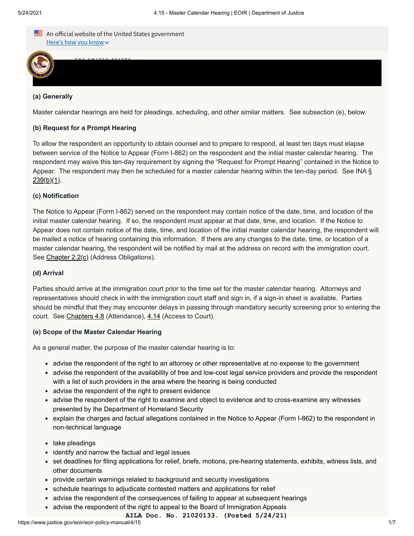

 $\overline{\mathcal{A}}$ 

**(a) Generally**

Master calendar hearings are held for pleadings, scheduling, and other similar matters. See subsection (e), below.

## **(b) Request for a Prompt Hearing**

To allow the respondent an opportunity to obtain counsel and to prepare to respond, at least ten days must elapse between service of the Notice to Appear (Form I-862) on the respondent and the initial master calendar hearing. The respondent may waive this ten-day requirement by signing the "Request for Prompt Hearing" contained in the Notice to Appear. The respondent may then be scheduled for a master calendar hearing within the ten-day period. See INA §  $239(b)(1)$ .

#### **(c) Notification**

The Notice to Appear (Form I-862) served on the respondent may contain notice of the date, time, and location of the initial master calendar hearing. If so, the respondent must appear at that date, time, and location. If the Notice to Appear does not contain notice of the date, time, and location of the initial master calendar hearing, the respondent will be mailed a notice of hearing containing this information. If there are any changes to the date, time, or location of a master calendar hearing, the respondent will be notified by mail at the address on record with the immigration court. See [Chapter 2.2\(c\)](https://www.justice.gov/eoir/eoir-policy-manual/2/2) (Address Obligations).

#### **(d) Arrival**

Parties should arrive at the immigration court prior to the time set for the master calendar hearing. Attorneys and representatives should check in with the immigration court staff and sign in, if a sign-in sheet is available. Parties should be mindful that they may encounter delays in passing through mandatory security screening prior to entering the court. See [Chapters 4.8](https://www.justice.gov/eoir/eoir-policy-manual/4/8) (Attendance), [4.14](https://www.justice.gov/eoir/eoir-policy-manual/4/14) (Access to Court).

#### **(e) Scope of the Master Calendar Hearing**

As a general matter, the purpose of the master calendar hearing is to:

- advise the respondent of the right to an attorney or other representative at no expense to the government
- advise the respondent of the availability of free and low-cost legal service providers and provide the respondent with a list of such providers in the area where the hearing is being conducted
- advise the respondent of the right to present evidence
- advise the respondent of the right to examine and object to evidence and to cross-examine any witnesses presented by the Department of Homeland Security
- explain the charges and factual allegations contained in the Notice to Appear (Form I-862) to the respondent in non-technical language
- take pleadings
- identify and narrow the factual and legal issues
- set deadlines for filing applications for relief, briefs, motions, pre-hearing statements, exhibits, witness lists, and other documents
- provide certain warnings related to background and security investigations
- schedule hearings to adjudicate contested matters and applications for relief
- advise the respondent of the consequences of failing to appear at subsequent hearings
- advise the respondent of the right to appeal to the Board of Immigration Appeals
	- **AILA Doc. No. 21020133. (Posted 5/24/21)**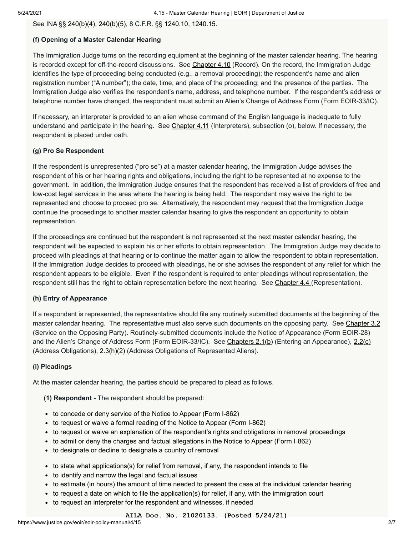See INA §§ [240\(b\)\(4\), 240\(b\)\(5\)](https://uscode.house.gov/view.xhtml?req=(title:8%20section:1229a%20edition:prelim)%20OR%20(granuleid:USC-prelim-title8-section1229a)&f=treesort&edition=prelim&num=0&jumpTo=true), 8 C.F.R. §§ [1240.10](https://www.ecfr.gov/cgi-bin/text-idx?SID=7a7af7d5619cd1aa5d09ddba13267fc1&mc=true&node=se8.1.1240_110&rgn=div8), [1240.15.](https://www.ecfr.gov/cgi-bin/retrieveECFR?gp=&SID=7a7af7d5619cd1aa5d09ddba13267fc1&mc=true&n=sp8.1.1240.a&r=SUBPART&ty=HTML#se8.1.1240_115)

## **(f) Opening of a Master Calendar Hearing**

The Immigration Judge turns on the recording equipment at the beginning of the master calendar hearing. The hearing is recorded except for off-the-record discussions. See [Chapter 4.10](https://www.justice.gov/eoir/eoir-policy-manual/4/10) (Record). On the record, the Immigration Judge identifies the type of proceeding being conducted (e.g., a removal proceeding); the respondent's name and alien registration number ("A number"); the date, time, and place of the proceeding; and the presence of the parties. The Immigration Judge also verifies the respondent's name, address, and telephone number. If the respondent's address or telephone number have changed, the respondent must submit an Alien's Change of Address Form (Form EOIR-33/IC).

If necessary, an interpreter is provided to an alien whose command of the English language is inadequate to fully understand and participate in the hearing. See [Chapter 4.11](https://www.justice.gov/eoir/eoir-policy-manual/4/11) (Interpreters), subsection (o), below. If necessary, the respondent is placed under oath.

## **(g) Pro Se Respondent**

If the respondent is unrepresented ("pro se") at a master calendar hearing, the Immigration Judge advises the respondent of his or her hearing rights and obligations, including the right to be represented at no expense to the government. In addition, the Immigration Judge ensures that the respondent has received a list of providers of free and low-cost legal services in the area where the hearing is being held. The respondent may waive the right to be represented and choose to proceed pro se. Alternatively, the respondent may request that the Immigration Judge continue the proceedings to another master calendar hearing to give the respondent an opportunity to obtain representation.

If the proceedings are continued but the respondent is not represented at the next master calendar hearing, the respondent will be expected to explain his or her efforts to obtain representation. The Immigration Judge may decide to proceed with pleadings at that hearing or to continue the matter again to allow the respondent to obtain representation. If the Immigration Judge decides to proceed with pleadings, he or she advises the respondent of any relief for which the respondent appears to be eligible. Even if the respondent is required to enter pleadings without representation, the respondent still has the right to obtain representation before the next hearing. See [Chapter 4.4](https://www.justice.gov/eoir/eoir-policy-manual/4/4) (Representation).

# **(h) Entry of Appearance**

If a respondent is represented, the representative should file any routinely submitted documents at the beginning of the master calendar hearing. The representative must also serve such documents on the opposing party. See [Chapter 3.2](https://www.justice.gov/eoir/eoir-policy-manual/3/2) (Service on the Opposing Party). Routinely-submitted documents include the Notice of Appearance (Form EOIR‑28) and the Alien's Change of Address Form (Form EOIR-33/IC). See [Chapters 2.1\(b\)](https://www.justice.gov/eoir/eoir-policy-manual/2/1) (Entering an Appearance), [2.2\(c\)](https://www.justice.gov/eoir/eoir-policy-manual/2/2) (Address Obligations),  $2.3(h)(2)$  (Address Obligations of Represented Aliens).

# **(i) Pleadings**

At the master calendar hearing, the parties should be prepared to plead as follows.

- **(1) Respondent** The respondent should be prepared:
- to concede or deny service of the Notice to Appear (Form I-862)
- to request or waive a formal reading of the Notice to Appear (Form I-862)
- to request or waive an explanation of the respondent's rights and obligations in removal proceedings
- to admit or deny the charges and factual allegations in the Notice to Appear (Form I-862)
- to designate or decline to designate a country of removal
- to state what applications(s) for relief from removal, if any, the respondent intends to file
- to identify and narrow the legal and factual issues
- to estimate (in hours) the amount of time needed to present the case at the individual calendar hearing
- to request a date on which to file the application(s) for relief, if any, with the immigration court
- to request an interpreter for the respondent and witnesses, if needed

#### **AILA Doc. No. 21020133. (Posted 5/24/21)**

https://www.justice.gov/eoir/eoir-policy-manual/4/15 2/7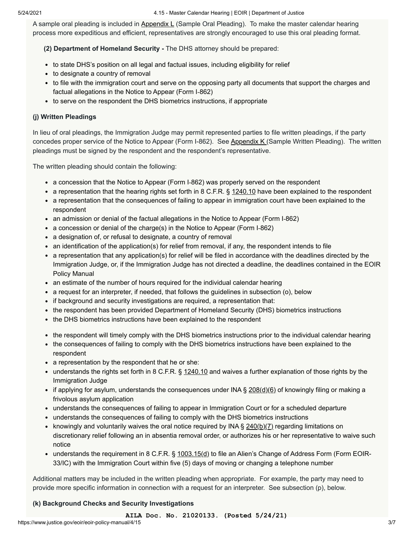5/24/2021 4.15 - Master Calendar Hearing | EOIR | Department of Justice

A sample oral pleading is included in [Appendix L](https://www.justice.gov/eoir/eoir-policy-manual/VIIII/L) (Sample Oral Pleading). To make the master calendar hearing process more expeditious and efficient, representatives are strongly encouraged to use this oral pleading format.

 **(2) Department of Homeland Security -** The DHS attorney should be prepared:

- to state DHS's position on all legal and factual issues, including eligibility for relief
- to designate a country of removal
- to file with the immigration court and serve on the opposing party all documents that support the charges and factual allegations in the Notice to Appear (Form I-862)
- to serve on the respondent the DHS biometrics instructions, if appropriate

## **(j) Written Pleadings**

In lieu of oral pleadings, the Immigration Judge may permit represented parties to file written pleadings, if the party concedes proper service of the Notice to Appear (Form I-862). See [Appendix K](https://www.justice.gov/eoir/eoir-policy-manual/VIIII/K) (Sample Written Pleading). The written pleadings must be signed by the respondent and the respondent's representative.

The written pleading should contain the following:

- a concession that the Notice to Appear (Form I-862) was properly served on the respondent
- a representation that the hearing rights set forth in 8 C.F.R.  $\S$  [1240.10](https://www.ecfr.gov/cgi-bin/text-idx?SID=7a7af7d5619cd1aa5d09ddba13267fc1&mc=true&node=se8.1.1240_110&rgn=div8) have been explained to the respondent
- a representation that the consequences of failing to appear in immigration court have been explained to the respondent
- an admission or denial of the factual allegations in the Notice to Appear (Form I-862)
- a concession or denial of the charge(s) in the Notice to Appear (Form I-862)
- a designation of, or refusal to designate, a country of removal
- an identification of the application(s) for relief from removal, if any, the respondent intends to file
- a representation that any application(s) for relief will be filed in accordance with the deadlines directed by the Immigration Judge, or, if the Immigration Judge has not directed a deadline, the deadlines contained in the EOIR Policy Manual
- an estimate of the number of hours required for the individual calendar hearing
- a request for an interpreter, if needed, that follows the guidelines in subsection (o), below
- if background and security investigations are required, a representation that:
- the respondent has been provided Department of Homeland Security (DHS) biometrics instructions
- the DHS biometrics instructions have been explained to the respondent
- the respondent will timely comply with the DHS biometrics instructions prior to the individual calendar hearing
- the consequences of failing to comply with the DHS biometrics instructions have been explained to the respondent
- a representation by the respondent that he or she:
- $\bullet$  understands the rights set forth in 8 C.F.R. § [1240.10](https://www.ecfr.gov/cgi-bin/text-idx?SID=7a7af7d5619cd1aa5d09ddba13267fc1&mc=true&node=se8.1.1240_110&rgn=div8) and waives a further explanation of those rights by the Immigration Judge
- if applying for asylum, understands the consequences under INA  $\S 208(d)(6)$  $\S 208(d)(6)$  of knowingly filing or making a frivolous asylum application
- understands the consequences of failing to appear in Immigration Court or for a scheduled departure
- understands the consequences of failing to comply with the DHS biometrics instructions
- knowingly and voluntarily waives the oral notice required by INA §  $240(b)(7)$  regarding limitations on discretionary relief following an in absentia removal order, or authorizes his or her representative to waive such notice
- understands the requirement in 8 C.F.R. § [1003.15\(d\)](https://www.ecfr.gov/cgi-bin/retrieveECFR?gp=&SID=acc63c1243f389a1c5813aeb713e1950&mc=true&n=pt8.1.1003&r=PART&ty=HTML#se8.1.1003_115) to file an Alien's Change of Address Form (Form EOIR-33/IC) with the Immigration Court within five (5) days of moving or changing a telephone number

Additional matters may be included in the written pleading when appropriate. For example, the party may need to provide more specific information in connection with a request for an interpreter. See subsection (p), below.

# **(k) Background Checks and Security Investigations**

**AILA Doc. No. 21020133. (Posted 5/24/21)**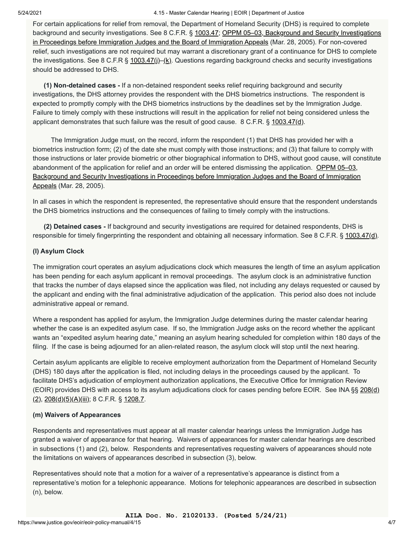#### 5/24/2021 4.15 - Master Calendar Hearing | EOIR | Department of Justice

For certain applications for relief from removal, the Department of Homeland Security (DHS) is required to complete background and security investigations. See 8 C.F.R. § 1003.47; OPPM 05-03, Background and Security Investigations in Proceedings before Immigration Judges and the Board of Immigration Appeals (Mar. 28, 2005). For non-covered relief, such investigations are not required but may warrant a discretionary grant of a continuance for DHS to complete the investigations. See 8 C.F.R § 1003.47(i)–(k). Questions regarding background checks and security investigations should be addressed to DHS.

 **(1) Non-detained cases -** If a non-detained respondent seeks relief requiring background and security investigations, the DHS attorney provides the respondent with the DHS biometrics instructions. The respondent is expected to promptly comply with the DHS biometrics instructions by the deadlines set by the Immigration Judge. Failure to timely comply with these instructions will result in the application for relief not being considered unless the applicant demonstrates that such failure was the result of good cause. 8 C.F.R.  $\S$  [1003.47\(d\)](https://www.ecfr.gov/cgi-bin/retrieveECFR?gp=&SID=acc63c1243f389a1c5813aeb713e1950&mc=true&n=pt8.1.1003&r=PART&ty=HTML#se8.1.1003_147).

 The Immigration Judge must, on the record, inform the respondent (1) that DHS has provided her with a biometrics instruction form; (2) of the date she must comply with those instructions; and (3) that failure to comply with those instructions or later provide biometric or other biographical information to DHS, without good cause, will constitute abandonment of the application for relief and an order will be entered dismissing the application. OPPM 05–03, [Background and Security Investigations in Proceedings before Immigration Judges and the Board of Immigration](https://www.justice.gov/sites/default/files/eoir/legacy/2005/04/12/05-03.pdf) Appeals (Mar. 28, 2005).

In all cases in which the respondent is represented, the representative should ensure that the respondent understands the DHS biometrics instructions and the consequences of failing to timely comply with the instructions.

 **(2) Detained cases -** If background and security investigations are required for detained respondents, DHS is responsible for timely fingerprinting the respondent and obtaining all necessary information. See 8 C.F.R. § [1003.47\(d\).](https://www.ecfr.gov/cgi-bin/retrieveECFR?gp=&SID=acc63c1243f389a1c5813aeb713e1950&mc=true&n=pt8.1.1003&r=PART&ty=HTML#se8.1.1003_147)

## **(l) Asylum Clock**

The immigration court operates an asylum adjudications clock which measures the length of time an asylum application has been pending for each asylum applicant in removal proceedings. The asylum clock is an administrative function that tracks the number of days elapsed since the application was filed, not including any delays requested or caused by the applicant and ending with the final administrative adjudication of the application. This period also does not include administrative appeal or remand.

Where a respondent has applied for asylum, the Immigration Judge determines during the master calendar hearing whether the case is an expedited asylum case. If so, the Immigration Judge asks on the record whether the applicant wants an "expedited asylum hearing date," meaning an asylum hearing scheduled for completion within 180 days of the filing. If the case is being adjourned for an alien-related reason, the asylum clock will stop until the next hearing.

Certain asylum applicants are eligible to receive employment authorization from the Department of Homeland Security (DHS) 180 days after the application is filed, not including delays in the proceedings caused by the applicant. To facilitate DHS's adjudication of employment authorization applications, the Executive Office for Immigration Review [\(EOIR\) provides DHS with access to its asylum adjudications clock for cases pending before EOIR. See INA §§ 208\(d\)](https://uscode.house.gov/view.xhtml?req=(title:8%20section:1158%20edition:prelim)%20OR%20(granuleid:USC-prelim-title8-section1158)&f=treesort&edition=prelim&num=0&jumpTo=true)  $(2)$ ,  $208(d)(5)(A)(iii)$ ; 8 C.F.R. § [1208.7](https://www.ecfr.gov/cgi-bin/text-idx?SID=05d0d813cf1f41adad6bff9df624a1a2&mc=true&node=se8.1.1208_17&rgn=div8).

#### **(m) Waivers of Appearances**

Respondents and representatives must appear at all master calendar hearings unless the Immigration Judge has granted a waiver of appearance for that hearing. Waivers of appearances for master calendar hearings are described in subsections (1) and (2), below. Respondents and representatives requesting waivers of appearances should note the limitations on waivers of appearances described in subsection (3), below.

Representatives should note that a motion for a waiver of a representative's appearance is distinct from a representative's motion for a telephonic appearance. Motions for telephonic appearances are described in subsection (n), below.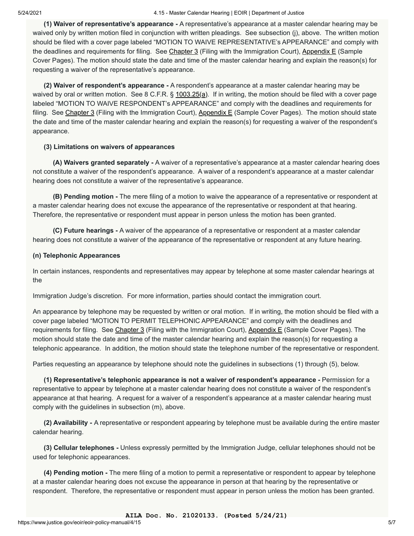**(1) Waiver of representative's appearance -** A representative's appearance at a master calendar hearing may be waived only by written motion filed in conjunction with written pleadings. See subsection (j), above. The written motion should be filed with a cover page labeled "MOTION TO WAIVE REPRESENTATIVE's APPEARANCE" and comply with the deadlines and requirements for filing. See [Chapter 3](https://www.justice.gov/eoir/eoir-policy-manual/3) (Filing with the Immigration Court), [Appendix E](https://www.justice.gov/eoir/eoir-policy-manual/VIIII/e) (Sample Cover Pages). The motion should state the date and time of the master calendar hearing and explain the reason(s) for requesting a waiver of the representative's appearance.

 **(2) Waiver of respondent's appearance -** A respondent's appearance at a master calendar hearing may be waived by oral or written motion. See 8 C.F.R.  $\S$  [1003.25\(a\).](https://www.ecfr.gov/cgi-bin/retrieveECFR?gp=&SID=acc63c1243f389a1c5813aeb713e1950&mc=true&n=pt8.1.1003&r=PART&ty=HTML#se8.1.1003_125) If in writing, the motion should be filed with a cover page labeled "MOTION TO WAIVE RESPONDENT's APPEARANCE" and comply with the deadlines and requirements for filing. See [Chapter 3](https://intranet.eoir.usdoj.gov/node/1404311) (Filing with the Immigration Court), Appendix  $E$  (Sample Cover Pages). The motion should state the date and time of the master calendar hearing and explain the reason(s) for requesting a waiver of the respondent's appearance.

## **(3) Limitations on waivers of appearances**

 **(A) Waivers granted separately -** A waiver of a representative's appearance at a master calendar hearing does not constitute a waiver of the respondent's appearance. A waiver of a respondent's appearance at a master calendar hearing does not constitute a waiver of the representative's appearance.

 **(B) Pending motion -** The mere filing of a motion to waive the appearance of a representative or respondent at a master calendar hearing does not excuse the appearance of the representative or respondent at that hearing. Therefore, the representative or respondent must appear in person unless the motion has been granted.

 **(C) Future hearings -** A waiver of the appearance of a representative or respondent at a master calendar hearing does not constitute a waiver of the appearance of the representative or respondent at any future hearing.

## **(n) Telephonic Appearances**

In certain instances, respondents and representatives may appear by telephone at some master calendar hearings at the

Immigration Judge's discretion. For more information, parties should contact the immigration court.

An appearance by telephone may be requested by written or oral motion. If in writing, the motion should be filed with a cover page labeled "MOTION TO PERMIT TELEPHONIC APPEARANCE" and comply with the deadlines and requirements for filing. See [Chapter 3](https://www.justice.gov/eoir/eoir-policy-manual/3) (Filing with the Immigration Court), [Appendix E](https://www.justice.gov/eoir/eoir-policy-manual/VIIII/e) (Sample Cover Pages). The motion should state the date and time of the master calendar hearing and explain the reason(s) for requesting a telephonic appearance. In addition, the motion should state the telephone number of the representative or respondent.

Parties requesting an appearance by telephone should note the guidelines in subsections (1) through (5), below.

 **(1) Representative's telephonic appearance is not a waiver of respondent's appearance -** Permission for a representative to appear by telephone at a master calendar hearing does not constitute a waiver of the respondent's appearance at that hearing. A request for a waiver of a respondent's appearance at a master calendar hearing must comply with the guidelines in subsection (m), above.

 **(2) Availability -** A representative or respondent appearing by telephone must be available during the entire master calendar hearing.

 **(3) Cellular telephones -** Unless expressly permitted by the Immigration Judge, cellular telephones should not be used for telephonic appearances.

 **(4) Pending motion -** The mere filing of a motion to permit a representative or respondent to appear by telephone at a master calendar hearing does not excuse the appearance in person at that hearing by the representative or respondent. Therefore, the representative or respondent must appear in person unless the motion has been granted.

**AILA Doc. No. 21020133. (Posted 5/24/21)**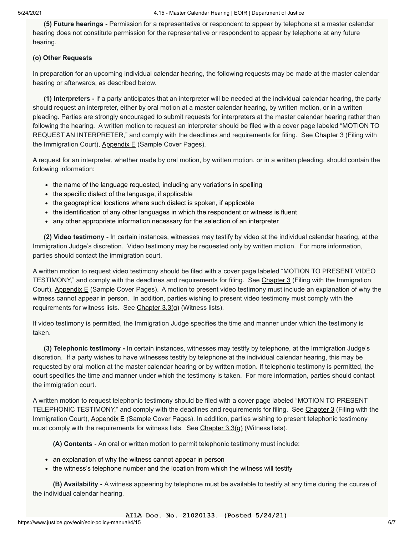**(5) Future hearings -** Permission for a representative or respondent to appear by telephone at a master calendar hearing does not constitute permission for the representative or respondent to appear by telephone at any future hearing.

#### **(o) Other Requests**

In preparation for an upcoming individual calendar hearing, the following requests may be made at the master calendar hearing or afterwards, as described below.

 **(1) Interpreters -** If a party anticipates that an interpreter will be needed at the individual calendar hearing, the party should request an interpreter, either by oral motion at a master calendar hearing, by written motion, or in a written pleading. Parties are strongly encouraged to submit requests for interpreters at the master calendar hearing rather than following the hearing. A written motion to request an interpreter should be filed with a cover page labeled "MOTION TO REQUEST AN INTERPRETER," and comply with the deadlines and requirements for filing. See [Chapter 3](https://www.justice.gov/eoir/eoir-policy-manual/3) (Filing with the Immigration Court), [Appendix E](https://intranet.eoir.usdoj.gov/node/1408946) (Sample Cover Pages).

A request for an interpreter, whether made by oral motion, by written motion, or in a written pleading, should contain the following information:

- the name of the language requested, including any variations in spelling
- the specific dialect of the language, if applicable
- the geographical locations where such dialect is spoken, if applicable
- the identification of any other languages in which the respondent or witness is fluent
- any other appropriate information necessary for the selection of an interpreter

 **(2) Video testimony -** In certain instances, witnesses may testify by video at the individual calendar hearing, at the Immigration Judge's discretion. Video testimony may be requested only by written motion. For more information, parties should contact the immigration court.

A written motion to request video testimony should be filed with a cover page labeled "MOTION TO PRESENT VIDEO TESTIMONY," and comply with the deadlines and requirements for filing. See [Chapter 3](https://www.justice.gov/eoir/eoir-policy-manual/3) (Filing with the Immigration Court), [Appendix E](https://www.justice.gov/eoir/eoir-policy-manual/VIIII/e) (Sample Cover Pages). A motion to present video testimony must include an explanation of why the witness cannot appear in person. In addition, parties wishing to present video testimony must comply with the requirements for witness lists. See Chapter  $3.3(q)$  (Witness lists).

If video testimony is permitted, the Immigration Judge specifies the time and manner under which the testimony is taken.

 **(3) Telephonic testimony -** In certain instances, witnesses may testify by telephone, at the Immigration Judge's discretion. If a party wishes to have witnesses testify by telephone at the individual calendar hearing, this may be requested by oral motion at the master calendar hearing or by written motion. If telephonic testimony is permitted, the court specifies the time and manner under which the testimony is taken. For more information, parties should contact the immigration court.

A written motion to request telephonic testimony should be filed with a cover page labeled "MOTION TO PRESENT TELEPHONIC TESTIMONY," and comply with the deadlines and requirements for filing. See [Chapter 3](https://www.justice.gov/eoir/eoir-policy-manual/3) (Filing with the Immigration Court), [Appendix E](https://www.justice.gov/eoir/eoir-policy-manual/VIIII/e) (Sample Cover Pages). In addition, parties wishing to present telephonic testimony must comply with the requirements for witness lists. See [Chapter 3.3\(g\)](https://www.justice.gov/eoir/eoir-policy-manual/3/3) (Witness lists).

 **(A) Contents -** An oral or written motion to permit telephonic testimony must include:

- an explanation of why the witness cannot appear in person
- the witness's telephone number and the location from which the witness will testify

 **(B) Availability -** A witness appearing by telephone must be available to testify at any time during the course of the individual calendar hearing.

**AILA Doc. No. 21020133. (Posted 5/24/21)**